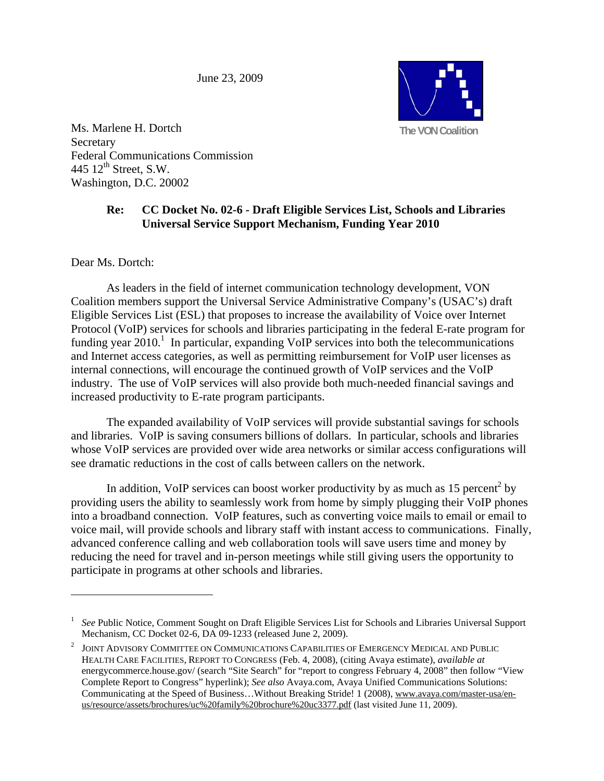June 23, 2009



Ms. Marlene H. Dortch Secretary Federal Communications Commission 445  $12^{\text{th}}$  Street, S.W. Washington, D.C. 20002

## **Re: CC Docket No. 02-6 - Draft Eligible Services List, Schools and Libraries Universal Service Support Mechanism, Funding Year 2010**

Dear Ms. Dortch:

<u>.</u>

 As leaders in the field of internet communication technology development, VON Coalition members support the Universal Service Administrative Company's (USAC's) draft Eligible Services List (ESL) that proposes to increase the availability of Voice over Internet Protocol (VoIP) services for schools and libraries participating in the federal E-rate program for funding year  $2010$ .<sup>1</sup> In particular, expanding VoIP services into both the telecommunications and Internet access categories, as well as permitting reimbursement for VoIP user licenses as internal connections, will encourage the continued growth of VoIP services and the VoIP industry. The use of VoIP services will also provide both much-needed financial savings and increased productivity to E-rate program participants.

 The expanded availability of VoIP services will provide substantial savings for schools and libraries. VoIP is saving consumers billions of dollars. In particular, schools and libraries whose VoIP services are provided over wide area networks or similar access configurations will see dramatic reductions in the cost of calls between callers on the network.

In addition, VoIP services can boost worker productivity by as much as  $15$  percent<sup>2</sup> by providing users the ability to seamlessly work from home by simply plugging their VoIP phones into a broadband connection. VoIP features, such as converting voice mails to email or email to voice mail, will provide schools and library staff with instant access to communications. Finally, advanced conference calling and web collaboration tools will save users time and money by reducing the need for travel and in-person meetings while still giving users the opportunity to participate in programs at other schools and libraries.

<sup>&</sup>lt;sup>1</sup> See Public Notice, Comment Sought on Draft Eligible Services List for Schools and Libraries Universal Support Mechanism, CC Docket 02-6, DA 09-1233 (released June 2, 2009).

 $^2$  JOINT ADVISORY COMMITTEE ON COMMUNICATIONS CAPABILITIES OF EMERGENCY MEDICAL AND PUBLIC HEALTH CARE FACILITIES, REPORT TO CONGRESS (Feb. 4, 2008), (citing Avaya estimate), *available at* energycommerce.house.gov/ (search "Site Search" for "report to congress February 4, 2008" then follow "View" Complete Report to Congress" hyperlink); *See also* Avaya.com, Avaya Unified Communications Solutions: Communicating at the Speed of Business…Without Breaking Stride! 1 (2008), www.avaya.com/master-usa/enus/resource/assets/brochures/uc%20family%20brochure%20uc3377.pdf (last visited June 11, 2009).